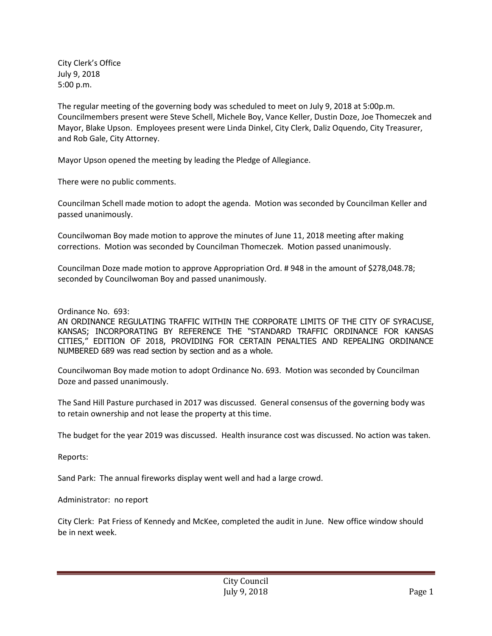City Clerk's Office July 9, 2018 5:00 p.m.

The regular meeting of the governing body was scheduled to meet on July 9, 2018 at 5:00p.m. Councilmembers present were Steve Schell, Michele Boy, Vance Keller, Dustin Doze, Joe Thomeczek and Mayor, Blake Upson. Employees present were Linda Dinkel, City Clerk, Daliz Oquendo, City Treasurer, and Rob Gale, City Attorney.

Mayor Upson opened the meeting by leading the Pledge of Allegiance.

There were no public comments.

Councilman Schell made motion to adopt the agenda. Motion was seconded by Councilman Keller and passed unanimously.

Councilwoman Boy made motion to approve the minutes of June 11, 2018 meeting after making corrections. Motion was seconded by Councilman Thomeczek. Motion passed unanimously.

Councilman Doze made motion to approve Appropriation Ord. # 948 in the amount of \$278,048.78; seconded by Councilwoman Boy and passed unanimously.

Ordinance No. 693:

AN ORDINANCE REGULATING TRAFFIC WITHIN THE CORPORATE LIMITS OF THE CITY OF SYRACUSE, KANSAS; INCORPORATING BY REFERENCE THE "STANDARD TRAFFIC ORDINANCE FOR KANSAS CITIES," EDITION OF 2018, PROVIDING FOR CERTAIN PENALTIES AND REPEALING ORDINANCE NUMBERED 689 was read section by section and as a whole.

Councilwoman Boy made motion to adopt Ordinance No. 693. Motion was seconded by Councilman Doze and passed unanimously.

The Sand Hill Pasture purchased in 2017 was discussed. General consensus of the governing body was to retain ownership and not lease the property at this time.

The budget for the year 2019 was discussed. Health insurance cost was discussed. No action was taken.

Reports:

Sand Park: The annual fireworks display went well and had a large crowd.

Administrator: no report

City Clerk: Pat Friess of Kennedy and McKee, completed the audit in June. New office window should be in next week.